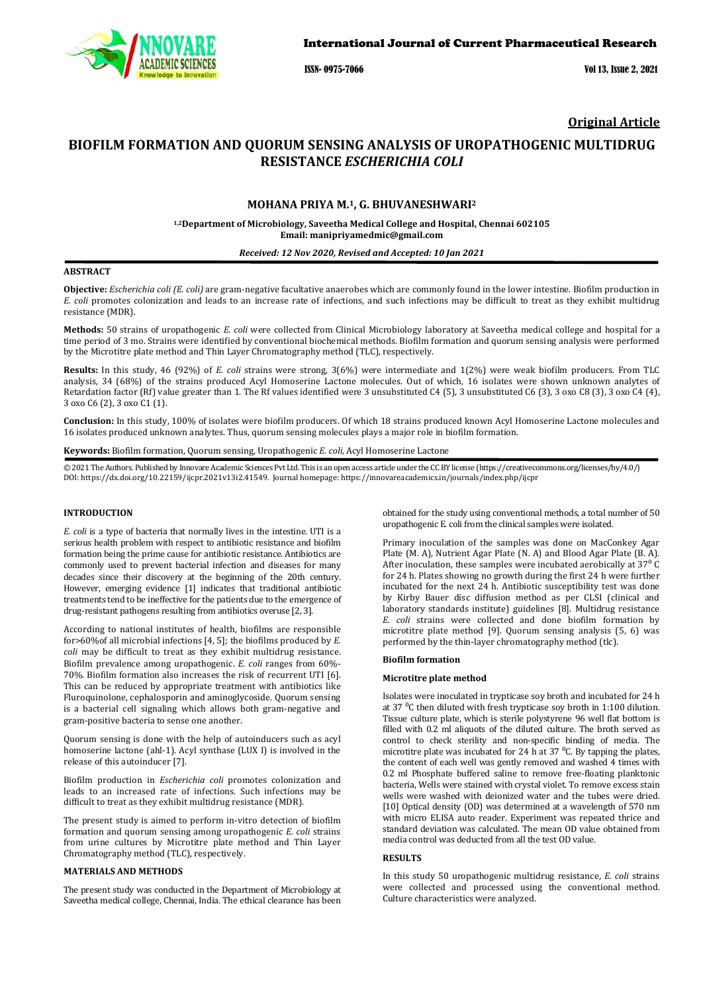

ISSN- 0975-7066 Vol 13, Issue 2, 2021

## **Original Article**

# **BIOFILM FORMATION AND QUORUM SENSING ANALYSIS OF UROPATHOGENIC MULTIDRUG RESISTANCE** *ESCHERICHIA COLI*

### **MOHANA PRIYA M.1, G. BHUVANESHWARI2**

**1,2Department of Microbiology, Saveetha Medical College and Hospital, Chennai 602105 Email: manipriyamedmic@gmail.com**

#### *Received: 12 Nov 2020, Revised and Accepted: 10 Jan 2021*

### **ABSTRACT**

**Objective:** *Escherichia coli (E. coli)* are gram-negative facultative anaerobes which are commonly found in the lower intestine. Biofilm production in *E. coli* promotes colonization and leads to an increase rate of infections, and such infections may be difficult to treat as they exhibit multidrug resistance (MDR).

**Methods:** 50 strains of uropathogenic *E. coli* were collected from Clinical Microbiology laboratory at Saveetha medical college and hospital for a time period of 3 mo. Strains were identified by conventional biochemical methods. Biofilm formation and quorum sensing analysis were performed by the Microtitre plate method and Thin Layer Chromatography method (TLC), respectively.

**Results:** In this study, 46 (92%) of *E. coli* strains were strong, 3(6%) were intermediate and 1(2%) were weak biofilm producers. From TLC analysis, 34 (68%) of the strains produced Acyl Homoserine Lactone molecules. Out of which, 16 isolates were shown unknown analytes of Retardation factor (Rf) value greater than 1. The Rf values identified were 3 unsubstituted C4 (5), 3 unsubstituted C6 (3), 3 oxo C8 (3), 3 oxo C4 (4), 3 oxo C6 (2), 3 oxo C1 (1).

**Conclusion:** In this study, 100% of isolates were biofilm producers. Of which 18 strains produced known Acyl Homoserine Lactone molecules and 16 isolates produced unknown analytes. Thus, quorum sensing molecules plays a major role in biofilm formation.

**Keywords:** Biofilm formation, Quorum sensing, Uropathogenic *E. coli,* Acyl Homoserine Lactone

© 2021 The Authors. Published by Innovare Academic Sciences Pvt Ltd. This is an open access article under the CC BY license [\(https://creativecommons.org/licenses/by/4.0/\)](https://creativecommons.org/licenses/by/4.0/) DOI: https://dx.doi.org/10.22159/ijcpr.2021v13i2.41549. Journal homepage[: https://innovareacademics.in/journals/index.php/ijcpr](https://innovareacademics.in/journals/index.php/ijcpr)

### **INTRODUCTION**

*E. coli* is a type of bacteria that normally lives in the intestine. UTI is a serious health problem with respect to antibiotic resistance and biofilm formation being the prime cause for antibiotic resistance. Antibiotics are commonly used to prevent bacterial infection and diseases for many decades since their discovery at the beginning of the 20th century. However, emerging evidence [1] indicates that traditional antibiotic treatments tend to be ineffective for the patients due to the emergence of drug-resistant pathogens resulting from antibiotics overuse [2, 3].

According to national institutes of health, biofilms are responsible for>60%of all microbial infections [4, 5]; the biofilms produced by *E. coli* may be difficult to treat as they exhibit multidrug resistance. Biofilm prevalence among uropathogenic. *E. coli* ranges from 60%- 70%. Biofilm formation also increases the risk of recurrent UTI [6]. This can be reduced by appropriate treatment with antibiotics like Fluroquinolone, cephalosporin and aminoglycoside. Quorum sensing is a bacterial cell signaling which allows both gram-negative and gram-positive bacteria to sense one another.

Quorum sensing is done with the help of autoinducers such as acyl homoserine lactone (ahl-1). Acyl synthase (LUX I) is involved in the release of this autoinducer [7].

Biofilm production in *Escherichia coli* promotes colonization and leads to an increased rate of infections. Such infections may be difficult to treat as they exhibit multidrug resistance (MDR).

The present study is aimed to perform in-vitro detection of biofilm formation and quorum sensing among uropathogenic *E. coli* strains from urine cultures by Microtitre plate method and Thin Layer Chromatography method (TLC), respectively.

### **MATERIALS AND METHODS**

The present study was conducted in the Department of Microbiology at Saveetha medical college, Chennai, India. The ethical clearance has been obtained for the study using conventional methods, a total number of 50 uropathogenic E. coli from the clinical samples were isolated.

Primary inoculation of the samples was done on MacConkey Agar Plate (M. A), Nutrient Agar Plate (N. A) and Blood Agar Plate (B. A). After inoculation, these samples were incubated aerobically at  $37<sup>0</sup>$  C for 24 h. Plates showing no growth during the first 24 h were further incubated for the next 24 h. Antibiotic susceptibility test was done by Kirby Bauer disc diffusion method as per CLSI (clinical and laboratory standards institute) guidelines [8]. Multidrug resistance *E. coli* strains were collected and done biofilm formation by microtitre plate method [9]. Quorum sensing analysis (5, 6) was performed by the thin-layer chromatography method (tlc).

#### **Biofilm formation**

#### **Microtitre plate method**

Isolates were inoculated in trypticase soy broth and incubated for 24 h at 37 $\mathrm{^0C}$  then diluted with fresh trypticase soy broth in 1:100 dilution. Tissue culture plate, which is sterile polystyrene 96 well flat bottom is filled with 0.2 ml aliquots of the diluted culture. The broth served as control to check sterility and non-specific binding of media. The microtitre plate was incubated for 24 h at 37  $\degree$ C. By tapping the plates, the content of each well was gently removed and washed 4 times with 0.2 ml Phosphate buffered saline to remove free-floating planktonic bacteria, Wells were stained with crystal violet. To remove excess stain wells were washed with deionized water and the tubes were dried. [10] Optical density (OD) was determined at a wavelength of 570 nm with micro ELISA auto reader. Experiment was repeated thrice and standard deviation was calculated. The mean OD value obtained from media control was deducted from all the test OD value.

### **RESULTS**

In this study 50 uropathogenic multidrug resistance, *E. coli* strains were collected and processed using the conventional method. Culture characteristics were analyzed.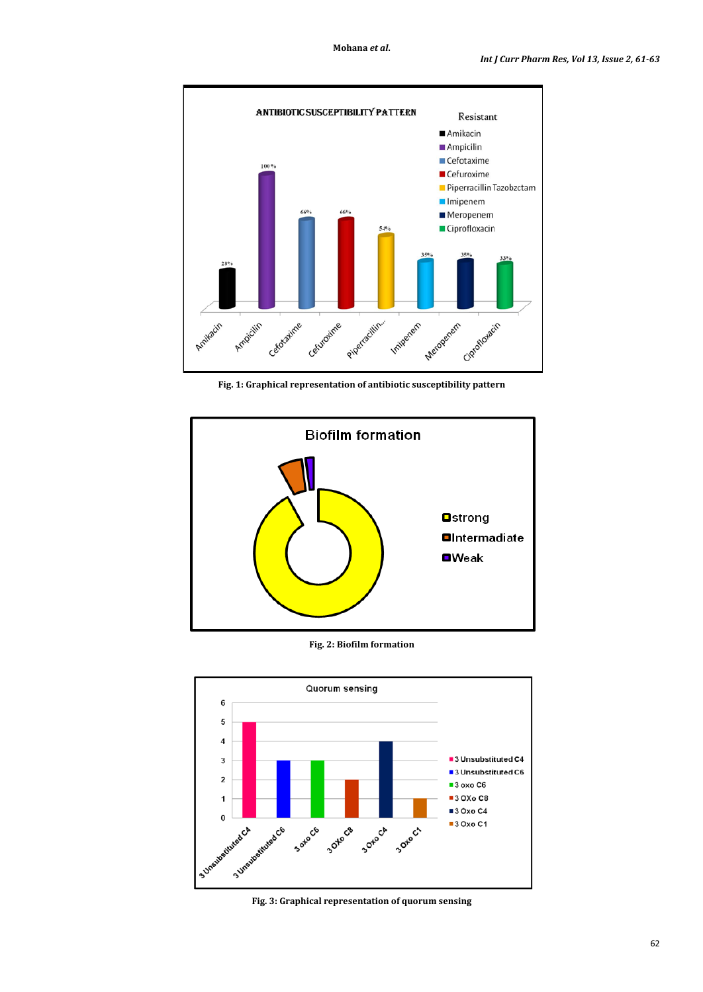

**Fig. 1: Graphical representation of antibiotic susceptibility pattern**



**Fig. 2: Biofilm formation**



**Fig. 3: Graphical representation of quorum sensing**